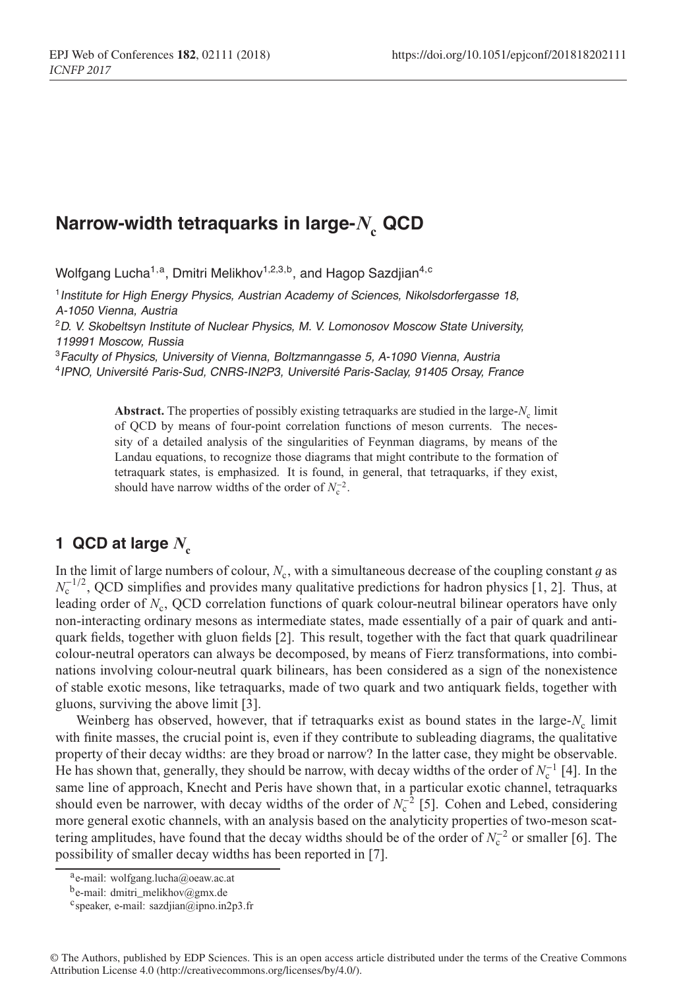# **Narrow-width tetraquarks in large-***N* **<sup>c</sup> QCD**

Wolfgang Lucha<sup>1,a</sup>, Dmitri Melikhov<sup>1,2,3,b</sup>, and Hagop Sazdjian<sup>4,c</sup>

<sup>1</sup> Institute for High Energy Physics, Austrian Academy of Sciences, Nikolsdorfergasse 18, A-1050 Vienna, Austria

<sup>2</sup>D. V. Skobeltsyn Institute of Nuclear Physics, M. V. Lomonosov Moscow State University, 119991 Moscow, Russia

<sup>3</sup> Faculty of Physics, University of Vienna, Boltzmanngasse 5, A-1090 Vienna, Austria <sup>4</sup>IPNO, Université Paris-Sud, CNRS-IN2P3, Université Paris-Saclay, <sup>91405</sup> Orsay, France

> Abstract. The properties of possibly existing tetraquarks are studied in the large-*N<sub>c</sub>* limit of QCD by means of four-point correlation functions of meson currents. The necessity of a detailed analysis of the singularities of Feynman diagrams, by means of the Landau equations, to recognize those diagrams that might contribute to the formation of tetraquark states, is emphasized. It is found, in general, that tetraquarks, if they exist, should have narrow widths of the order of  $N_c^{-2}$ .

## **1 QCD at large**  $N_c$

In the limit of large numbers of colour,  $N_c$ , with a simultaneous decrease of the coupling constant g as  $N_c^{-1/2}$ , QCD simplifies and provides many qualitative predictions for hadron physics [1, 2]. Thus, at leading order of *N<sub>c</sub>*, QCD correlation functions of quark colour-neutral bilinear operators have only non-interacting ordinary mesons as intermediate states, made essentially of a pair of quark and antiquark fields, together with gluon fields [2]. This result, together with the fact that quark quadrilinear colour-neutral operators can always be decomposed, by means of Fierz transformations, into combinations involving colour-neutral quark bilinears, has been considered as a sign of the nonexistence of stable exotic mesons, like tetraquarks, made of two quark and two antiquark fields, together with gluons, surviving the above limit [3].

Weinberg has observed, however, that if tetraquarks exist as bound states in the large- $N_c$  limit with finite masses, the crucial point is, even if they contribute to subleading diagrams, the qualitative property of their decay widths: are they broad or narrow? In the latter case, they might be observable. He has shown that, generally, they should be narrow, with decay widths of the order of  $N_c^{-1}$  [4]. In the same line of approach, Knecht and Peris have shown that, in a particular exotic channel, tetraquarks should even be narrower, with decay widths of the order of  $N_c^{-2}$  [5]. Cohen and Lebed, considering more general exotic channels, with an analysis based on the analyticity properties of two-meson scattering amplitudes, have found that the decay widths should be of the order of *N*<sub>c</sub><sup>−2</sup> or smaller [6]. The possibility of smaller decay widths has been reported in [7].

a<sub>e-mail: wolfgang.lucha@oeaw.ac.at</sub>

be-mail: dmitri\_melikhov@gmx.de

 $c$ speaker, e-mail: sazdjian@ipno.in2p3.fr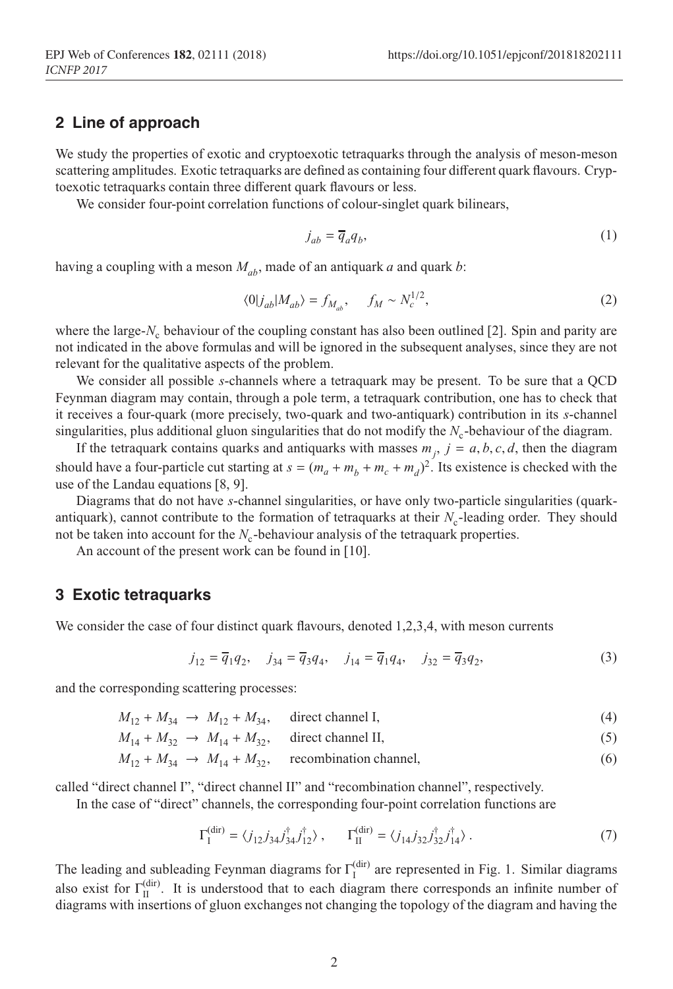## **2 Line of approach**

We study the properties of exotic and cryptoexotic tetraquarks through the analysis of meson-meson scattering amplitudes. Exotic tetraquarks are defined as containing four different quark flavours. Cryptoexotic tetraquarks contain three different quark flavours or less.

EPJ Web of Conferences and Conferences and Conferences and Conferences and Conferences and Conferences and Con

We consider four-point correlation functions of colour-singlet quark bilinears.

$$
j_{ab} = \overline{q}_a q_b,\tag{1}
$$

having a coupling with a meson *Mab*, made of an antiquark *a* and quark *b*:

$$
\langle 0|j_{ab}|M_{ab}\rangle = f_{M_{ab}}, \quad f_M \sim N_c^{1/2},\tag{2}
$$

where the large-*N<sub>c</sub>* behaviour of the coupling constant has also been outlined [2]. Spin and parity are not indicated in the above formulas and will be ignored in the subsequent analyses, since they are not relevant for the qualitative aspects of the problem.

We consider all possible *s*-channels where a tetraquark may be present. To be sure that a QCD Feynman diagram may contain, through a pole term, a tetraquark contribution, one has to check that it receives a four-quark (more precisely, two-quark and two-antiquark) contribution in its *s*-channel singularities, plus additional gluon singularities that do not modify the  $N_c$ -behaviour of the diagram.

If the tetraquark contains quarks and antiquarks with masses  $m_j$ ,  $j = a, b, c, d$ , then the diagram should have a four-particle cut starting at  $s = (m_a + m_b + m_c + m_d)^2$ . Its existence is checked with the use of the Landau equations [8, 9].

Diagrams that do not have *s*-channel singularities, or have only two-particle singularities (quarkantiquark), cannot contribute to the formation of tetraquarks at their  $N_c$ -leading order. They should not be taken into account for the  $N_c$ -behaviour analysis of the tetraquark properties.

An account of the present work can be found in [10].

#### **3 Exotic tetraquarks**

We consider the case of four distinct quark flavours, denoted 1,2,3,4, with meson currents

$$
j_{12} = \overline{q}_1 q_2, \quad j_{34} = \overline{q}_3 q_4, \quad j_{14} = \overline{q}_1 q_4, \quad j_{32} = \overline{q}_3 q_2,
$$
 (3)

and the corresponding scattering processes:

$$
M_{12} + M_{34} \to M_{12} + M_{34}, \quad \text{direct channel I,} \tag{4}
$$

 $M_{14} + M_{32} \rightarrow M_{14} + M_{32}$ , direct channel II, (5)

$$
M_{12} + M_{34} \rightarrow M_{14} + M_{32}, \quad \text{recombination channel}, \tag{6}
$$

called "direct channel I", "direct channel II" and "recombination channel", respectively.

In the case of "direct" channels, the corresponding four-point correlation functions are

$$
\Gamma_1^{\text{(dir)}} = \langle j_{12} j_{34} j_{34}^{\dagger} j_{12}^{\dagger} \rangle , \qquad \Gamma_{\text{II}}^{\text{(dir)}} = \langle j_{14} j_{32} j_{32}^{\dagger} j_{14}^{\dagger} \rangle . \tag{7}
$$

The leading and subleading Feynman diagrams for  $\Gamma_I^{(dir)}$  are represented in Fig. 1. Similar diagrams also exist for  $\Gamma_{II}^{(dir)}$ . It is understood that to each diagram there corresponds an infinite number of diagrams with insertions of gluon exchanges not changing the topology of the diagram and having the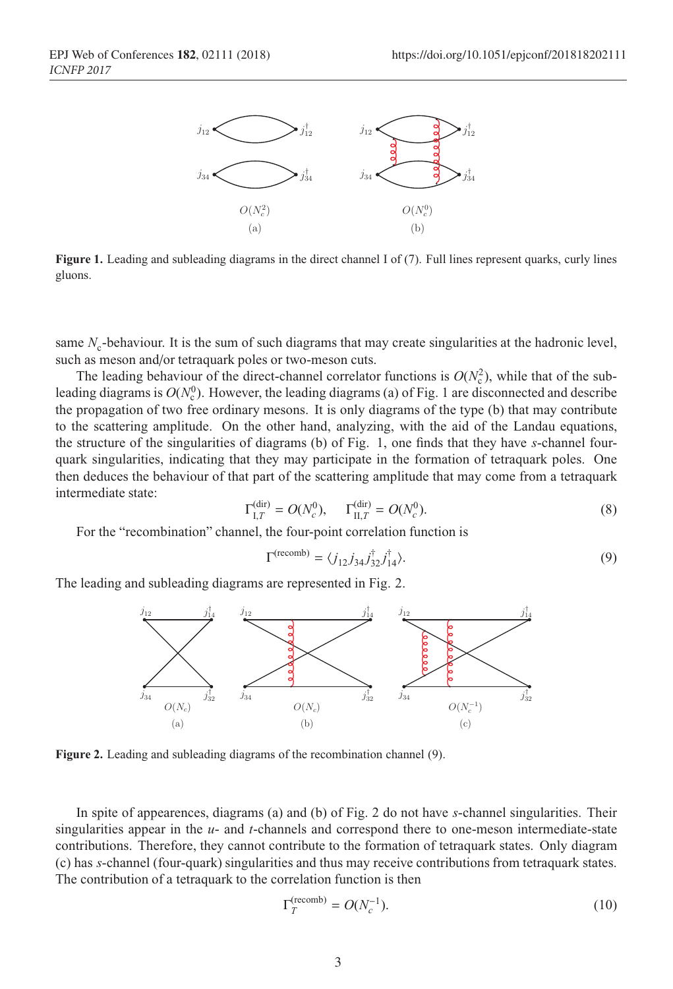

ICH 2017

**Figure 1.** Leading and subleading diagrams in the direct channel I of (7). Full lines represent quarks, curly lines gluons.

same *N<sub>c</sub>*-behaviour. It is the sum of such diagrams that may create singularities at the hadronic level, such as meson and/or tetraquark poles or two-meson cuts.

The leading behaviour of the direct-channel correlator functions is  $O(N_c^2)$ , while that of the subleading diagrams is  $O(N_c^0)$ . However, the leading diagrams (a) of Fig. 1 are disconnected and describe the propagation of two free ordinary mesons. It is only diagrams of the type (b) that may contribute to the scattering amplitude. On the other hand, analyzing, with the aid of the Landau equations, the structure of the singularities of diagrams (b) of Fig. 1, one finds that they have *s*-channel fourquark singularities, indicating that they may participate in the formation of tetraquark poles. One then deduces the behaviour of that part of the scattering amplitude that may come from a tetraquark intermediate state:

$$
\Gamma_{I,T}^{(dir)} = O(N_c^0), \qquad \Gamma_{II,T}^{(dir)} = O(N_c^0). \tag{8}
$$

For the "recombination" channel, the four-point correlation function is

$$
\Gamma^{\text{(recomb)}} = \langle j_{12} j_{34} j_{32}^{\dagger} j_{14}^{\dagger} \rangle. \tag{9}
$$

The leading and subleading diagrams are represented in Fig. 2.



**Figure 2.** Leading and subleading diagrams of the recombination channel (9).

In spite of appearences, diagrams (a) and (b) of Fig. 2 do not have *s*-channel singularities. Their singularities appear in the *u*- and *t*-channels and correspond there to one-meson intermediate-state contributions. Therefore, they cannot contribute to the formation of tetraquark states. Only diagram (c) has *s*-channel (four-quark) singularities and thus may receive contributions from tetraquark states. The contribution of a tetraquark to the correlation function is then

$$
\Gamma_T^{\text{(recomb)}} = O(N_c^{-1}).\tag{10}
$$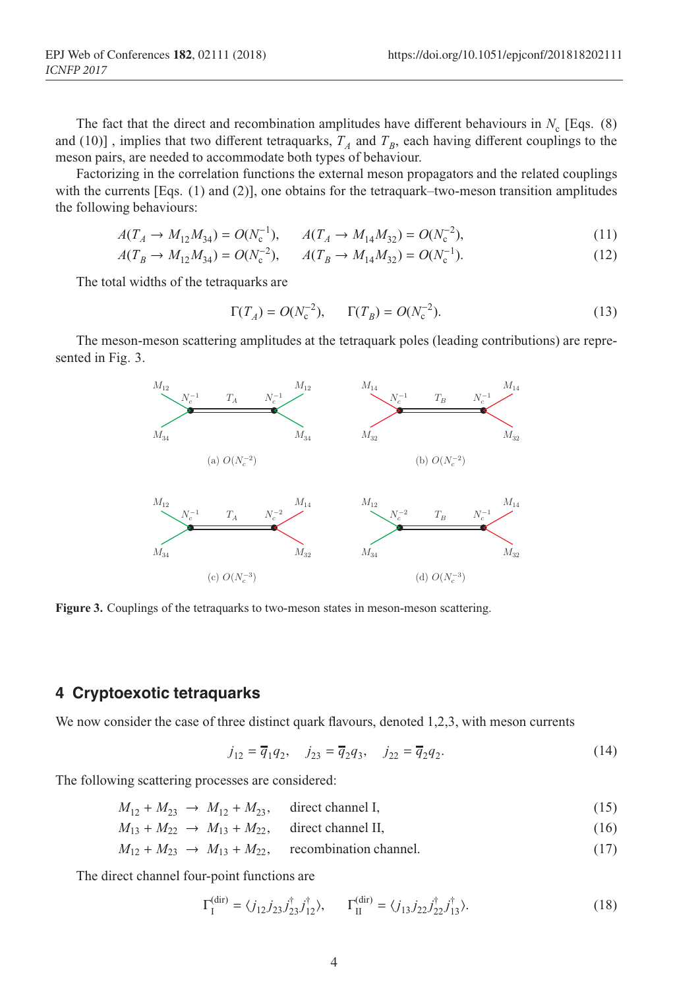The fact that the direct and recombination amplitudes have different behaviours in  $N_c$  [Eqs. (8) and (10)], implies that two different tetraquarks,  $T_A$  and  $T_B$ , each having different couplings to the meson pairs, are needed to accommodate both types of behaviour.

EPJ Web of Conferences and Conferences and Conferences and Conferences and Conferences and Conferences and Con

Factorizing in the correlation functions the external meson propagators and the related couplings with the currents [Eqs. (1) and (2)], one obtains for the tetraquark–two-meson transition amplitudes the following behaviours:

$$
A(T_A \to M_{12}M_{34}) = O(N_c^{-1}), \qquad A(T_A \to M_{14}M_{32}) = O(N_c^{-2}), \tag{11}
$$

$$
A(T_B \to M_{12}M_{34}) = O(N_c^{-2}), \qquad A(T_B \to M_{14}M_{32}) = O(N_c^{-1}).
$$
\n(12)

The total widths of the tetraquarks are

$$
\Gamma(T_A) = O(N_c^{-2}), \qquad \Gamma(T_B) = O(N_c^{-2}). \tag{13}
$$

The meson-meson scattering amplitudes at the tetraquark poles (leading contributions) are represented in Fig. 3.



**Figure 3.** Couplings of the tetraquarks to two-meson states in meson-meson scattering.

#### **4 Cryptoexotic tetraquarks**

We now consider the case of three distinct quark flavours, denoted 1,2,3, with meson currents

$$
j_{12} = \overline{q}_1 q_2, \quad j_{23} = \overline{q}_2 q_3, \quad j_{22} = \overline{q}_2 q_2.
$$
 (14)

The following scattering processes are considered:

$$
M_{12} + M_{23} \to M_{12} + M_{23}, \quad \text{direct channel I}, \tag{15}
$$

 $M_{13} + M_{22} \rightarrow M_{13} + M_{22}$ , direct channel II, (16)

$$
M_{12} + M_{23} \rightarrow M_{13} + M_{22}, \quad \text{recombination channel.} \tag{17}
$$

The direct channel four-point functions are

$$
\Gamma_{\text{I}}^{\text{(dir)}} = \langle j_{12} j_{23} j_{23}^{\dagger} j_{12}^{\dagger} \rangle, \qquad \Gamma_{\text{II}}^{\text{(dir)}} = \langle j_{13} j_{22} j_{22}^{\dagger} j_{13}^{\dagger} \rangle. \tag{18}
$$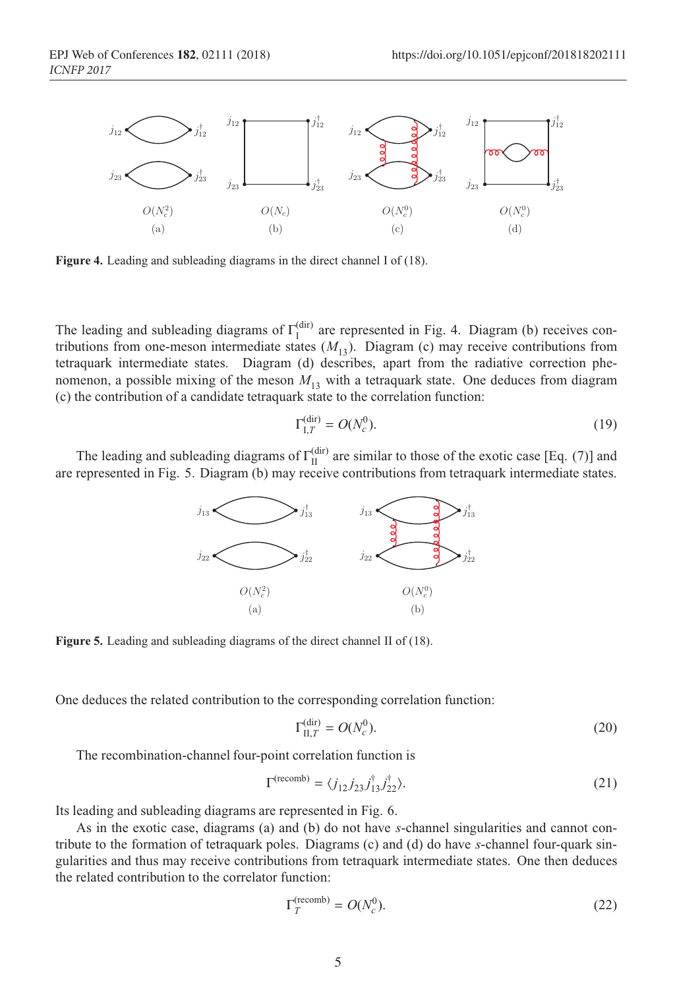

ICH 2017

**Figure 4.** Leading and subleading diagrams in the direct channel I of (18).

The leading and subleading diagrams of  $\Gamma_{\text{I}}^{(\text{dir})}$  are represented in Fig. 4. Diagram (b) receives contributions from one-meson intermediate states  $(M_{13})$ . Diagram (c) may receive contributions from tetraquark intermediate states. Diagram (d) describes, apart from the radiative correction phenomenon, a possible mixing of the meson  $M<sub>13</sub>$  with a tetraquark state. One deduces from diagram (c) the contribution of a candidate tetraquark state to the correlation function:

$$
\Gamma_{\mathrm{I},T}^{(\mathrm{dir})} = O(N_c^0). \tag{19}
$$

The leading and subleading diagrams of  $\Gamma_{II}^{(dir)}$  are similar to those of the exotic case [Eq. (7)] and are represented in Fig. 5. Diagram (b) may receive contributions from tetraquark intermediate states.



**Figure 5.** Leading and subleading diagrams of the direct channel II of (18).

One deduces the related contribution to the corresponding correlation function:

$$
\Gamma_{\text{II},T}^{\text{(dir)}} = O(N_c^0). \tag{20}
$$

The recombination-channel four-point correlation function is

$$
\Gamma^{\text{(recomb)}} = \langle j_{12} j_{23} j_{13}^{\dagger} j_{22}^{\dagger} \rangle. \tag{21}
$$

Its leading and subleading diagrams are represented in Fig. 6.

As in the exotic case, diagrams (a) and (b) do not have *s*-channel singularities and cannot contribute to the formation of tetraquark poles. Diagrams (c) and (d) do have *s*-channel four-quark singularities and thus may receive contributions from tetraquark intermediate states. One then deduces the related contribution to the correlator function:

$$
\Gamma_T^{\text{(recomb)}} = O(N_c^0). \tag{22}
$$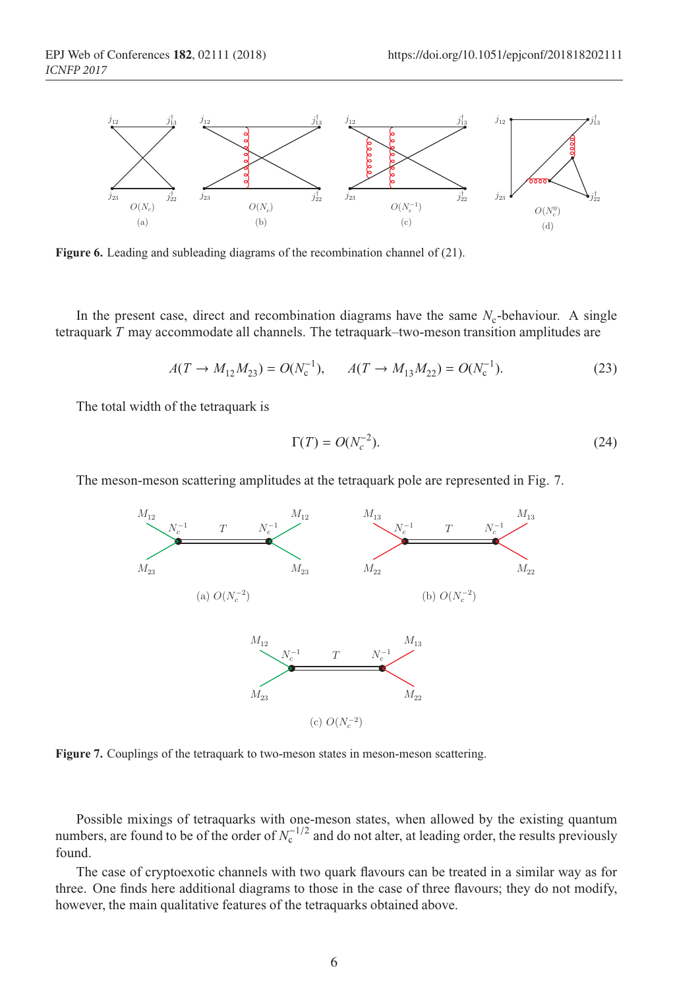

EPJ Web of Conferences and Conferences and Conferences and Conferences and Conferences and Conferences and Con

**Figure 6.** Leading and subleading diagrams of the recombination channel of (21).

In the present case, direct and recombination diagrams have the same  $N_c$ -behaviour. A single tetraquark *T* may accommodate all channels. The tetraquark–two-meson transition amplitudes are

$$
A(T \to M_{12}M_{23}) = O(N_c^{-1}), \qquad A(T \to M_{13}M_{22}) = O(N_c^{-1}).
$$
\n(23)

The total width of the tetraquark is

$$
\Gamma(T) = O(N_c^{-2}).\tag{24}
$$

The meson-meson scattering amplitudes at the tetraquark pole are represented in Fig. 7.



**Figure 7.** Couplings of the tetraquark to two-meson states in meson-meson scattering.

Possible mixings of tetraquarks with one-meson states, when allowed by the existing quantum numbers, are found to be of the order of  $N_c^{-1/2}$  and do not alter, at leading order, the results previously found.

The case of cryptoexotic channels with two quark flavours can be treated in a similar way as for three. One finds here additional diagrams to those in the case of three flavours; they do not modify, however, the main qualitative features of the tetraquarks obtained above.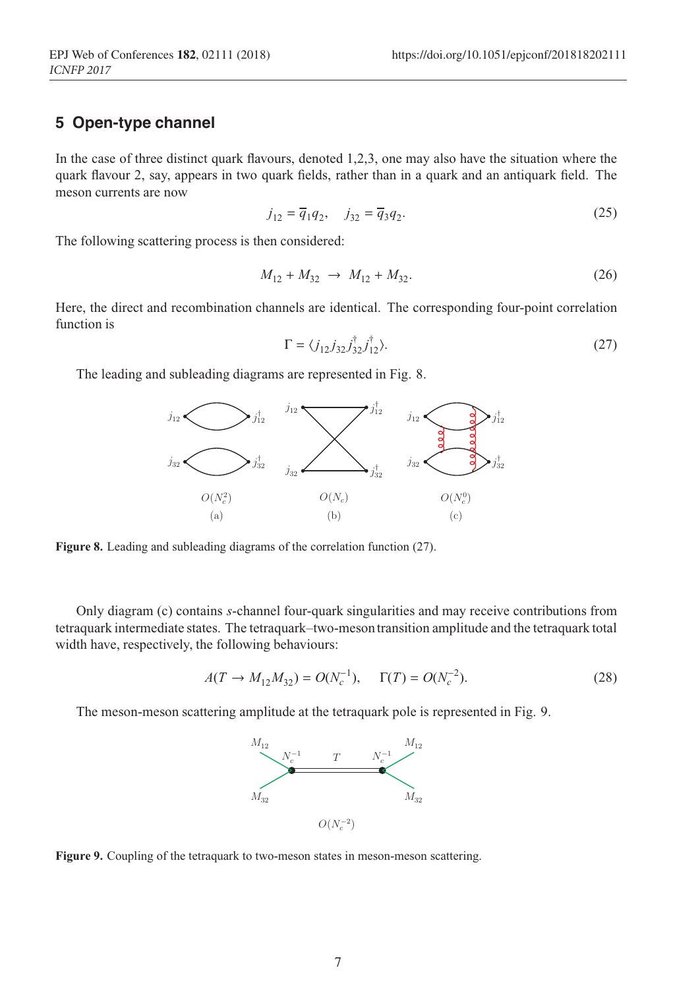## **5 Open-type channel**

In the case of three distinct quark flavours, denoted 1,2,3, one may also have the situation where the quark flavour 2, say, appears in two quark fields, rather than in a quark and an antiquark field. The meson currents are now

ICH 2017

$$
j_{12} = \overline{q}_1 q_2, \quad j_{32} = \overline{q}_3 q_2. \tag{25}
$$

The following scattering process is then considered:

$$
M_{12} + M_{32} \rightarrow M_{12} + M_{32}.
$$
 (26)

Here, the direct and recombination channels are identical. The corresponding four-point correlation function is

$$
\Gamma = \langle j_{12} j_{32} j_{32}^\dagger j_{12}^\dagger \rangle. \tag{27}
$$

The leading and subleading diagrams are represented in Fig. 8.



**Figure 8.** Leading and subleading diagrams of the correlation function (27).

Only diagram (c) contains *s*-channel four-quark singularities and may receive contributions from tetraquark intermediate states. The tetraquark–two-mesontransition amplitude and the tetraquark total width have, respectively, the following behaviours:

$$
A(T \to M_{12}M_{32}) = O(N_c^{-1}), \quad \Gamma(T) = O(N_c^{-2}).
$$
\n(28)

The meson-meson scattering amplitude at the tetraquark pole is represented in Fig. 9.



**Figure 9.** Coupling of the tetraquark to two-meson states in meson-meson scattering.